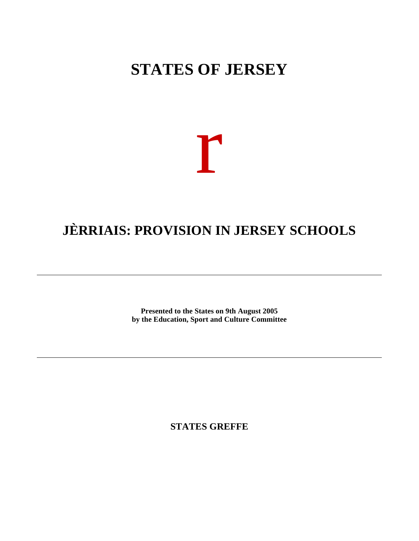### **STATES OF JERSEY**

# r

## **JÈRRIAIS: PROVISION IN JERSEY SCHOOLS**

**Presented to the States on 9th August 2005 by the Education, Sport and Culture Committee**

**STATES GREFFE**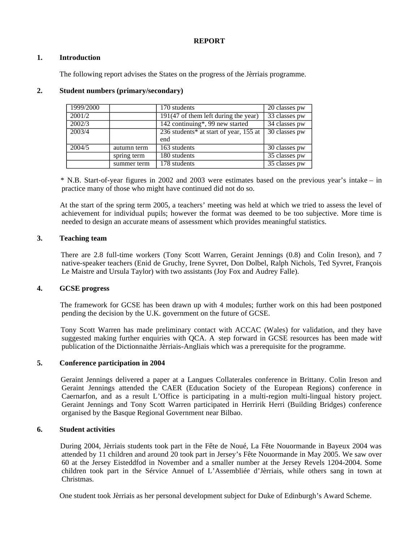#### **REPORT**

#### **1. Introduction**

The following report advises the States on the progress of the Jèrriais programme.

| 1999/2000 |             | 170 students                                       | 20 classes pw              |
|-----------|-------------|----------------------------------------------------|----------------------------|
| 2001/2    |             | $\overline{191(47)}$ of them left during the year) | $\overline{33}$ classes pw |
| 2002/3    |             | 142 continuing*, 99 new started                    | $\overline{34}$ classes pw |
| 2003/4    |             | 236 students* at start of year, 155 at             | $\overline{30}$ classes pw |
|           |             | end                                                |                            |
| 2004/5    | autumn term | 163 students                                       | 30 classes pw              |
|           | spring term | 180 students                                       | $\overline{35}$ classes pw |
|           | summer term | 178 students                                       | $\overline{35}$ classes pw |

#### **2. Student numbers (primary/secondary)**

 \* N.B. Start-of-year figures in 2002 and 2003 were estimates based on the previous year's intake – in practice many of those who might have continued did not do so.

 At the start of the spring term 2005, a teachers' meeting was held at which we tried to assess the level of achievement for individual pupils; however the format was deemed to be too subjective. More time is needed to design an accurate means of assessment which provides meaningful statistics.

#### **3. Teaching team**

 There are 2.8 full-time workers (Tony Scott Warren, Geraint Jennings (0.8) and Colin Ireson), and 7 native-speaker teachers (Enid de Gruchy, Irene Syvret, Don Dolbel, Ralph Nichols, Ted Syvret, François Le Maistre and Ursula Taylor) with two assistants (Joy Fox and Audrey Falle).

#### **4. GCSE progress**

 The framework for GCSE has been drawn up with 4 modules; further work on this had been postponed pending the decision by the U.K. government on the future of GCSE.

 Tony Scott Warren has made preliminary contact with ACCAC (Wales) for validation, and they have suggested making further enquiries with QCA. A step forward in GCSE resources has been made with publication of the Dictionnaithe Jèrriais-Angliais which was a prerequisite for the programme.

#### **5. Conference participation in 2004**

 Geraint Jennings delivered a paper at a Langues Collaterales conference in Brittany. Colin Ireson and Geraint Jennings attended the CAER (Education Society of the European Regions) conference in Caernarfon, and as a result L'Office is participating in a multi-region multi-lingual history project. Geraint Jennings and Tony Scott Warren participated in Herririk Herri (Building Bridges) conference organised by the Basque Regional Government near Bilbao.

#### **6. Student activities**

 During 2004, Jèrriais students took part in the Fête de Noué, La Fête Nouormande in Bayeux 2004 was attended by 11 children and around 20 took part in Jersey's Fête Nouormande in May 2005. We saw over 60 at the Jersey Eisteddfod in November and a smaller number at the Jersey Revels 1204-2004. Some children took part in the Sérvice Annuel of L'Assembliée d'Jèrriais, while others sang in town at Christmas.

One student took Jèrriais as her personal development subject for Duke of Edinburgh's Award Scheme.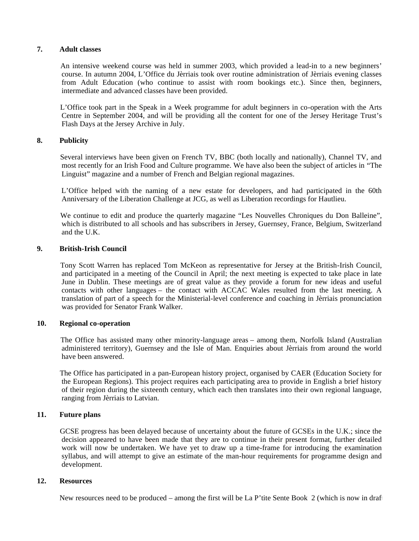#### **7. Adult classes**

 An intensive weekend course was held in summer 2003, which provided a lead-in to a new beginners' course. In autumn 2004, L'Office du Jèrriais took over routine administration of Jèrriais evening classes from Adult Education (who continue to assist with room bookings etc.). Since then, beginners, intermediate and advanced classes have been provided.

 L'Office took part in the Speak in a Week programme for adult beginners in co-operation with the Arts Centre in September 2004, and will be providing all the content for one of the Jersey Heritage Trust's Flash Days at the Jersey Archive in July.

#### **8. Publicity**

 Several interviews have been given on French TV, BBC (both locally and nationally), Channel TV, and most recently for an Irish Food and Culture programme. We have also been the subject of articles in "The Linguist" magazine and a number of French and Belgian regional magazines.

 L'Office helped with the naming of a new estate for developers, and had participated in the 60th Anniversary of the Liberation Challenge at JCG, as well as Liberation recordings for Hautlieu.

We continue to edit and produce the quarterly magazine "Les Nouvelles Chroniques du Don Balleine", which is distributed to all schools and has subscribers in Jersey, Guernsey, France, Belgium, Switzerland and the U.K.

#### **9. British-Irish Council**

 Tony Scott Warren has replaced Tom McKeon as representative for Jersey at the British-Irish Council, and participated in a meeting of the Council in April; the next meeting is expected to take place in late June in Dublin. These meetings are of great value as they provide a forum for new ideas and useful contacts with other languages – the contact with ACCAC Wales resulted from the last meeting. A translation of part of a speech for the Ministerial-level conference and coaching in Jèrriais pronunciation was provided for Senator Frank Walker.

#### **10. Regional co-operation**

 The Office has assisted many other minority-language areas – among them, Norfolk Island (Australian administered territory), Guernsey and the Isle of Man. Enquiries about Jèrriais from around the world have been answered.

 The Office has participated in a pan-European history project, organised by CAER (Education Society for the European Regions). This project requires each participating area to provide in English a brief history of their region during the sixteenth century, which each then translates into their own regional language, ranging from Jèrriais to Latvian.

#### **11. Future plans**

 GCSE progress has been delayed because of uncertainty about the future of GCSEs in the U.K.; since the decision appeared to have been made that they are to continue in their present format, further detailed work will now be undertaken. We have yet to draw up a time-frame for introducing the examination syllabus, and will attempt to give an estimate of the man-hour requirements for programme design and development.

#### **12. Resources**

New resources need to be produced – among the first will be La P'tite Sente Book 2 (which is now in draft